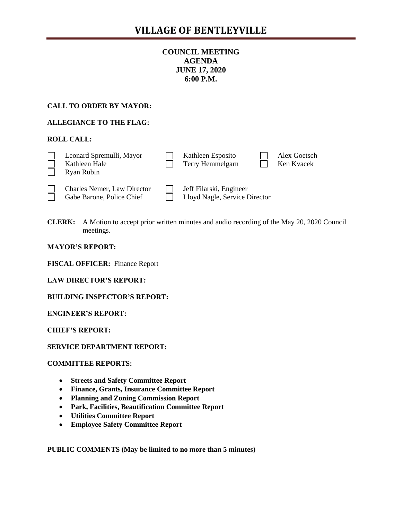## **COUNCIL MEETING AGENDA JUNE 17, 2020 6:00 P.M.**

## **CALL TO ORDER BY MAYOR:**

## **ALLEGIANCE TO THE FLAG:**

### **ROLL CALL:**

| Leonard Spremulli, Mayor<br>Kathleen Hale<br>Ryan Rubin         | Kathleen Esposito<br>Terry Hemmelgarn                    | Alex Goetsch<br>Ken Kvacek |
|-----------------------------------------------------------------|----------------------------------------------------------|----------------------------|
| <b>Charles Nemer, Law Director</b><br>Gabe Barone, Police Chief | Jeff Filarski, Engineer<br>Lloyd Nagle, Service Director |                            |

Gabe Barone, Police Chief **Lloyd Nagle, Service Director** 

**CLERK:** A Motion to accept prior written minutes and audio recording of the May 20, 2020 Council meetings.

**MAYOR'S REPORT:** 

**FISCAL OFFICER:** Finance Report

**LAW DIRECTOR'S REPORT:**

**BUILDING INSPECTOR'S REPORT:**

**ENGINEER'S REPORT:**

**CHIEF'S REPORT:**

**SERVICE DEPARTMENT REPORT:**

#### **COMMITTEE REPORTS:**

- **Streets and Safety Committee Report**
- **Finance, Grants, Insurance Committee Report**
- **Planning and Zoning Commission Report**
- **Park, Facilities, Beautification Committee Report**
- **Utilities Committee Report**
- **Employee Safety Committee Report**

**PUBLIC COMMENTS (May be limited to no more than 5 minutes)**